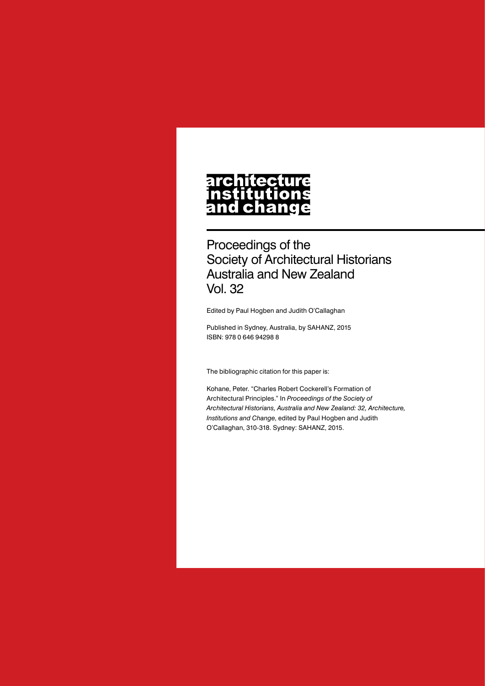## **architecture** nstitutions<br>nstitutions<br>and change

Proceedings of the Society of Architectural Historians Australia and New Zealand Vol. 32

Edited by Paul Hogben and Judith O'Callaghan

Published in Sydney, Australia, by SAHANZ, 2015 ISBN: 978 0 646 94298 8

The bibliographic citation for this paper is:

Kohane, Peter. "Charles Robert Cockerell's Formation of Architectural Principles." In *Proceedings of the Society of Architectural Historians, Australia and New Zealand: 32, Architecture, Institutions and Change*, edited by Paul Hogben and Judith O'Callaghan, 310-318. Sydney: SAHANZ, 2015.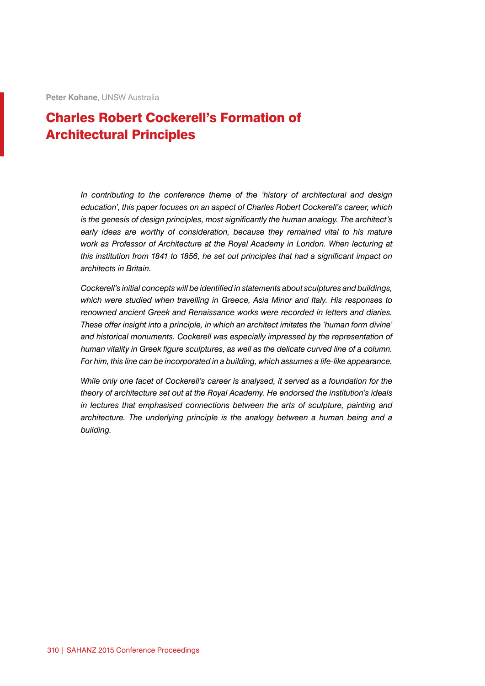**Peter Kohane**, UNSW Australia

## Charles Robert Cockerell's Formation of Architectural Principles

*In contributing to the conference theme of the 'history of architectural and design education', this paper focuses on an aspect of Charles Robert Cockerell's career, which is the genesis of design principles, most significantly the human analogy. The architect's*  early ideas are worthy of consideration, because they remained vital to his mature *work as Professor of Architecture at the Royal Academy in London. When lecturing at this institution from 1841 to 1856, he set out principles that had a significant impact on architects in Britain.*

*Cockerell's initial concepts will be identified in statements about sculptures and buildings, which were studied when travelling in Greece, Asia Minor and Italy. His responses to renowned ancient Greek and Renaissance works were recorded in letters and diaries. These offer insight into a principle, in which an architect imitates the 'human form divine' and historical monuments. Cockerell was especially impressed by the representation of human vitality in Greek figure sculptures, as well as the delicate curved line of a column. For him, this line can be incorporated in a building, which assumes a life-like appearance.*

*While only one facet of Cockerell's career is analysed, it served as a foundation for the theory of architecture set out at the Royal Academy. He endorsed the institution's ideals in lectures that emphasised connections between the arts of sculpture, painting and architecture. The underlying principle is the analogy between a human being and a building.*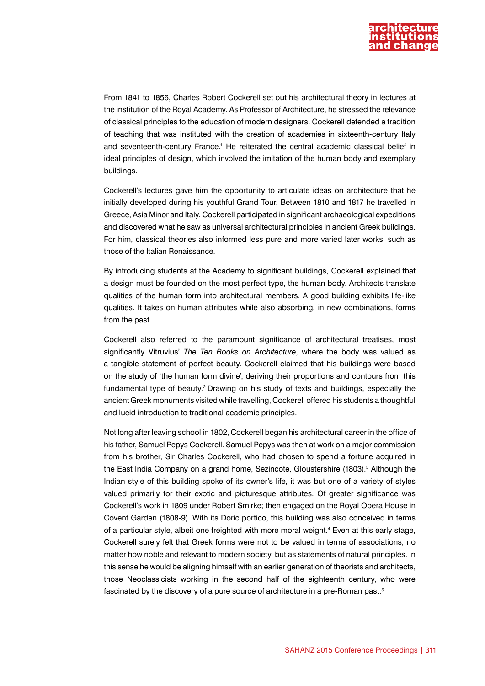

From 1841 to 1856, Charles Robert Cockerell set out his architectural theory in lectures at the institution of the Royal Academy. As Professor of Architecture, he stressed the relevance of classical principles to the education of modern designers. Cockerell defended a tradition of teaching that was instituted with the creation of academies in sixteenth-century Italy and seventeenth-century France.<sup>1</sup> He reiterated the central academic classical belief in ideal principles of design, which involved the imitation of the human body and exemplary buildings.

Cockerell's lectures gave him the opportunity to articulate ideas on architecture that he initially developed during his youthful Grand Tour. Between 1810 and 1817 he travelled in Greece, Asia Minor and Italy. Cockerell participated in significant archaeological expeditions and discovered what he saw as universal architectural principles in ancient Greek buildings. For him, classical theories also informed less pure and more varied later works, such as those of the Italian Renaissance.

By introducing students at the Academy to significant buildings, Cockerell explained that a design must be founded on the most perfect type, the human body. Architects translate qualities of the human form into architectural members. A good building exhibits life-like qualities. It takes on human attributes while also absorbing, in new combinations, forms from the past.

Cockerell also referred to the paramount significance of architectural treatises, most significantly Vitruvius' *The Ten Books on Architecture*, where the body was valued as a tangible statement of perfect beauty. Cockerell claimed that his buildings were based on the study of 'the human form divine', deriving their proportions and contours from this fundamental type of beauty.2 Drawing on his study of texts and buildings, especially the ancient Greek monuments visited while travelling, Cockerell offered his students a thoughtful and lucid introduction to traditional academic principles.

Not long after leaving school in 1802, Cockerell began his architectural career in the office of his father, Samuel Pepys Cockerell. Samuel Pepys was then at work on a major commission from his brother, Sir Charles Cockerell, who had chosen to spend a fortune acquired in the East India Company on a grand home, Sezincote, Gloustershire (1803).<sup>3</sup> Although the Indian style of this building spoke of its owner's life, it was but one of a variety of styles valued primarily for their exotic and picturesque attributes. Of greater significance was Cockerell's work in 1809 under Robert Smirke; then engaged on the Royal Opera House in Covent Garden (1808-9). With its Doric portico, this building was also conceived in terms of a particular style, albeit one freighted with more moral weight.<sup>4</sup> Even at this early stage, Cockerell surely felt that Greek forms were not to be valued in terms of associations, no matter how noble and relevant to modern society, but as statements of natural principles. In this sense he would be aligning himself with an earlier generation of theorists and architects, those Neoclassicists working in the second half of the eighteenth century, who were fascinated by the discovery of a pure source of architecture in a pre-Roman past.<sup>5</sup>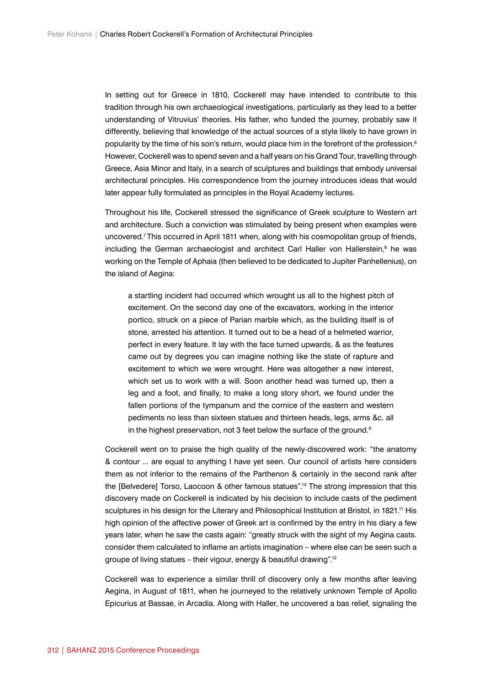In setting out for Greece in 1810, Cockerell may have intended to contribute to this tradition through his own archaeological investigations, particularly as they lead to a better understanding of Vitruvius' theories. His father, who funded the journey, probably saw it differently, believing that knowledge of the actual sources of a style likely to have grown in popularity by the time of his son's return, would place him in the forefront of the profession.<sup>6</sup> However, Cockerell was to spend seven and a half years on his Grand Tour, travelling through Greece, Asia Minor and Italy, in a search of sculptures and buildings that embody universal architectural principles. His correspondence from the journey introduces ideas that would later appear fully formulated as principles in the Royal Academy lectures.

Throughout his life, Cockerell stressed the significance of Greek sculpture to Western art and architecture. Such a conviction was stimulated by being present when examples were uncovered.7 This occurred in April 1811 when, along with his cosmopolitan group of friends, including the German archaeologist and architect Carl Haller von Hallerstein,<sup>8</sup> he was working on the Temple of Aphaia (then believed to be dedicated to Jupiter Panhellenius), on the island of Aegina:

a startling incident had occurred which wrought us all to the highest pitch of excitement. On the second day one of the excavators, working in the interior portico, struck on a piece of Parian marble which, as the building itself is of stone, arrested his attention. It turned out to be a head of a helmeted warrior, perfect in every feature. It lay with the face turned upwards, & as the features came out by degrees you can imagine nothing like the state of rapture and excitement to which we were wrought. Here was altogether a new interest, which set us to work with a will. Soon another head was turned up, then a leg and a foot, and finally, to make a long story short, we found under the fallen portions of the tympanum and the cornice of the eastern and western pediments no less than sixteen statues and thirteen heads, legs, arms &c. all in the highest preservation, not 3 feet below the surface of the ground.<sup>9</sup>

Cockerell went on to praise the high quality of the newly-discovered work: "the anatomy & contour ... are equal to anything I have yet seen. Our council of artists here considers them as not inferior to the remains of the Parthenon & certainly in the second rank after the [Belvedere] Torso, Laocoon & other famous statues".10 The strong impression that this discovery made on Cockerell is indicated by his decision to include casts of the pediment sculptures in his design for the Literary and Philosophical Institution at Bristol, in 1821.<sup>11</sup> His high opinion of the affective power of Greek art is confirmed by the entry in his diary a few years later, when he saw the casts again: "greatly struck with the sight of my Aegina casts. consider them calculated to inflame an artists imagination – where else can be seen such a groupe of living statues – their vigour, energy & beautiful drawing".12

Cockerell was to experience a similar thrill of discovery only a few months after leaving Aegina, in August of 1811, when he journeyed to the relatively unknown Temple of Apollo Epicurius at Bassae, in Arcadia. Along with Haller, he uncovered a bas relief, signaling the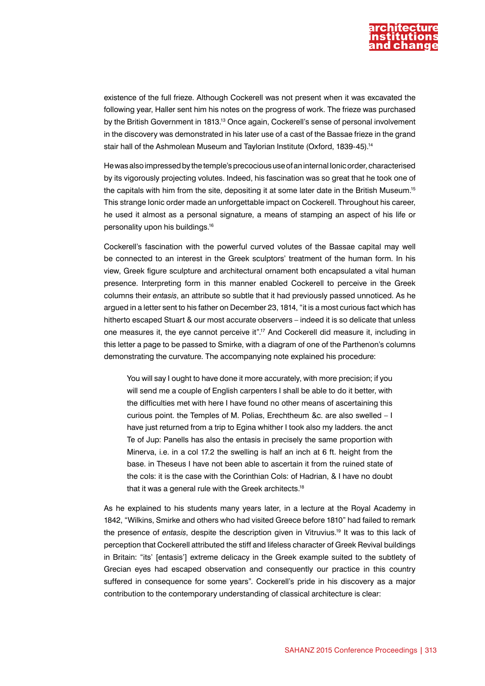

existence of the full frieze. Although Cockerell was not present when it was excavated the following year, Haller sent him his notes on the progress of work. The frieze was purchased by the British Government in 1813.13 Once again, Cockerell's sense of personal involvement in the discovery was demonstrated in his later use of a cast of the Bassae frieze in the grand stair hall of the Ashmolean Museum and Taylorian Institute (Oxford, 1839-45).14

He was also impressed by the temple's precocious use of an internal Ionic order, characterised by its vigorously projecting volutes. Indeed, his fascination was so great that he took one of the capitals with him from the site, depositing it at some later date in the British Museum.15 This strange Ionic order made an unforgettable impact on Cockerell. Throughout his career, he used it almost as a personal signature, a means of stamping an aspect of his life or personality upon his buildings.16

Cockerell's fascination with the powerful curved volutes of the Bassae capital may well be connected to an interest in the Greek sculptors' treatment of the human form. In his view, Greek figure sculpture and architectural ornament both encapsulated a vital human presence. Interpreting form in this manner enabled Cockerell to perceive in the Greek columns their *entasis*, an attribute so subtle that it had previously passed unnoticed. As he argued in a letter sent to his father on December 23, 1814, "it is a most curious fact which has hitherto escaped Stuart & our most accurate observers – indeed it is so delicate that unless one measures it, the eye cannot perceive it".17 And Cockerell did measure it, including in this letter a page to be passed to Smirke, with a diagram of one of the Parthenon's columns demonstrating the curvature. The accompanying note explained his procedure:

You will say I ought to have done it more accurately, with more precision; if you will send me a couple of English carpenters I shall be able to do it better, with the difficulties met with here I have found no other means of ascertaining this curious point. the Temples of M. Polias, Erechtheum &c. are also swelled – I have just returned from a trip to Egina whither I took also my ladders. the anct Te of Jup: Panells has also the entasis in precisely the same proportion with Minerva, i.e. in a col 17.2 the swelling is half an inch at 6 ft. height from the base. in Theseus I have not been able to ascertain it from the ruined state of the cols: it is the case with the Corinthian Cols: of Hadrian, & I have no doubt that it was a general rule with the Greek architects.<sup>18</sup>

As he explained to his students many years later, in a lecture at the Royal Academy in 1842, "Wilkins, Smirke and others who had visited Greece before 1810" had failed to remark the presence of *entasis*, despite the description given in Vitruvius.19 It was to this lack of perception that Cockerell attributed the stiff and lifeless character of Greek Revival buildings in Britain: "its' [entasis'] extreme delicacy in the Greek example suited to the subtlety of Grecian eyes had escaped observation and consequently our practice in this country suffered in consequence for some years". Cockerell's pride in his discovery as a major contribution to the contemporary understanding of classical architecture is clear: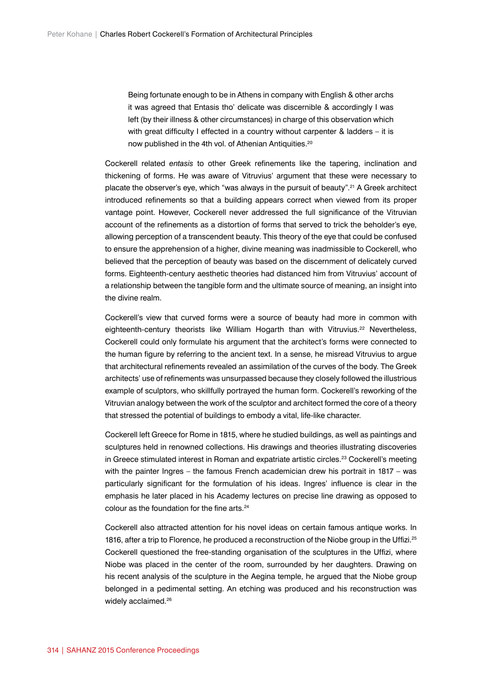Being fortunate enough to be in Athens in company with English & other archs it was agreed that Entasis tho' delicate was discernible & accordingly I was left (by their illness & other circumstances) in charge of this observation which with great difficulty I effected in a country without carpenter & ladders – it is now published in the 4th vol. of Athenian Antiquities.20

Cockerell related *entasis* to other Greek refinements like the tapering, inclination and thickening of forms. He was aware of Vitruvius' argument that these were necessary to placate the observer's eye, which "was always in the pursuit of beauty".21 A Greek architect introduced refinements so that a building appears correct when viewed from its proper vantage point. However, Cockerell never addressed the full significance of the Vitruvian account of the refinements as a distortion of forms that served to trick the beholder's eye, allowing perception of a transcendent beauty. This theory of the eye that could be confused to ensure the apprehension of a higher, divine meaning was inadmissible to Cockerell, who believed that the perception of beauty was based on the discernment of delicately curved forms. Eighteenth-century aesthetic theories had distanced him from Vitruvius' account of a relationship between the tangible form and the ultimate source of meaning, an insight into the divine realm.

Cockerell's view that curved forms were a source of beauty had more in common with eighteenth-century theorists like William Hogarth than with Vitruvius.<sup>22</sup> Nevertheless, Cockerell could only formulate his argument that the architect's forms were connected to the human figure by referring to the ancient text. In a sense, he misread Vitruvius to argue that architectural refinements revealed an assimilation of the curves of the body. The Greek architects' use of refinements was unsurpassed because they closely followed the illustrious example of sculptors, who skillfully portrayed the human form. Cockerell's reworking of the Vitruvian analogy between the work of the sculptor and architect formed the core of a theory that stressed the potential of buildings to embody a vital, life-like character.

Cockerell left Greece for Rome in 1815, where he studied buildings, as well as paintings and sculptures held in renowned collections. His drawings and theories illustrating discoveries in Greece stimulated interest in Roman and expatriate artistic circles.<sup>23</sup> Cockerell's meeting with the painter Ingres – the famous French academician drew his portrait in 1817 – was particularly significant for the formulation of his ideas. Ingres' influence is clear in the emphasis he later placed in his Academy lectures on precise line drawing as opposed to colour as the foundation for the fine arts.24

Cockerell also attracted attention for his novel ideas on certain famous antique works. In 1816, after a trip to Florence, he produced a reconstruction of the Niobe group in the Uffizi.<sup>25</sup> Cockerell questioned the free-standing organisation of the sculptures in the Uffizi, where Niobe was placed in the center of the room, surrounded by her daughters. Drawing on his recent analysis of the sculpture in the Aegina temple, he argued that the Niobe group belonged in a pedimental setting. An etching was produced and his reconstruction was widely acclaimed.<sup>26</sup>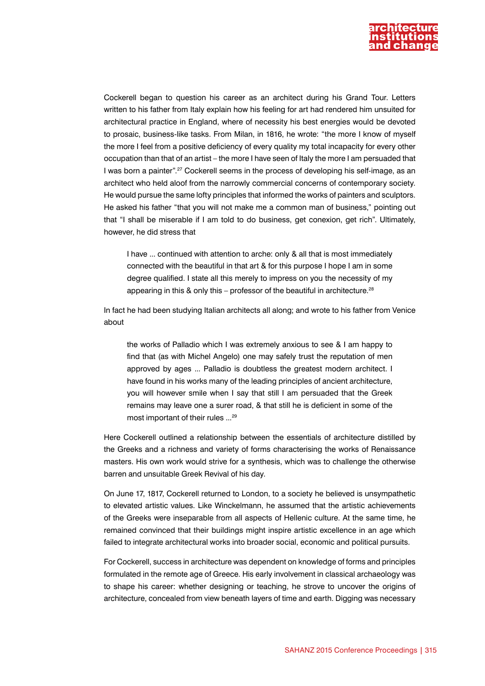

Cockerell began to question his career as an architect during his Grand Tour. Letters written to his father from Italy explain how his feeling for art had rendered him unsuited for architectural practice in England, where of necessity his best energies would be devoted to prosaic, business-like tasks. From Milan, in 1816, he wrote: "the more I know of myself the more I feel from a positive deficiency of every quality my total incapacity for every other occupation than that of an artist – the more I have seen of Italy the more I am persuaded that I was born a painter".27 Cockerell seems in the process of developing his self-image, as an architect who held aloof from the narrowly commercial concerns of contemporary society. He would pursue the same lofty principles that informed the works of painters and sculptors. He asked his father "that you will not make me a common man of business," pointing out that "I shall be miserable if I am told to do business, get conexion, get rich". Ultimately, however, he did stress that

I have ... continued with attention to arche: only & all that is most immediately connected with the beautiful in that art & for this purpose I hope I am in some degree qualified. I state all this merely to impress on you the necessity of my appearing in this & only this – professor of the beautiful in architecture.<sup>28</sup>

In fact he had been studying Italian architects all along; and wrote to his father from Venice about

the works of Palladio which I was extremely anxious to see & I am happy to find that (as with Michel Angelo) one may safely trust the reputation of men approved by ages ... Palladio is doubtless the greatest modern architect. I have found in his works many of the leading principles of ancient architecture, you will however smile when I say that still I am persuaded that the Greek remains may leave one a surer road, & that still he is deficient in some of the most important of their rules ...29

Here Cockerell outlined a relationship between the essentials of architecture distilled by the Greeks and a richness and variety of forms characterising the works of Renaissance masters. His own work would strive for a synthesis, which was to challenge the otherwise barren and unsuitable Greek Revival of his day.

On June 17, 1817, Cockerell returned to London, to a society he believed is unsympathetic to elevated artistic values. Like Winckelmann, he assumed that the artistic achievements of the Greeks were inseparable from all aspects of Hellenic culture. At the same time, he remained convinced that their buildings might inspire artistic excellence in an age which failed to integrate architectural works into broader social, economic and political pursuits.

For Cockerell, success in architecture was dependent on knowledge of forms and principles formulated in the remote age of Greece. His early involvement in classical archaeology was to shape his career: whether designing or teaching, he strove to uncover the origins of architecture, concealed from view beneath layers of time and earth. Digging was necessary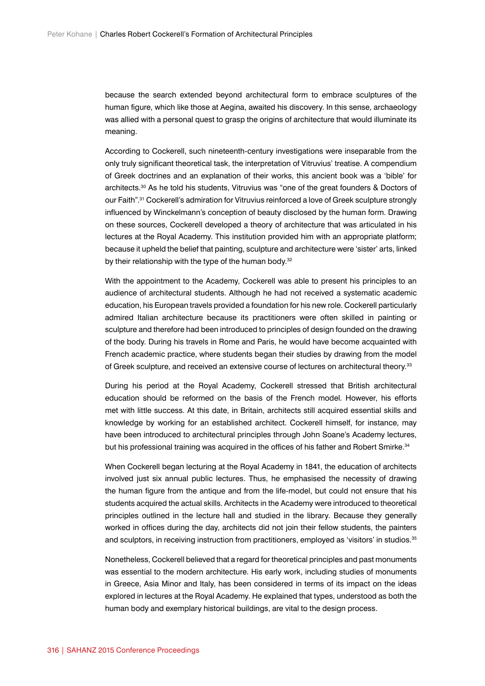because the search extended beyond architectural form to embrace sculptures of the human figure, which like those at Aegina, awaited his discovery. In this sense, archaeology was allied with a personal quest to grasp the origins of architecture that would illuminate its meaning.

According to Cockerell, such nineteenth-century investigations were inseparable from the only truly significant theoretical task, the interpretation of Vitruvius' treatise. A compendium of Greek doctrines and an explanation of their works, this ancient book was a 'bible' for architects.30 As he told his students, Vitruvius was "one of the great founders & Doctors of our Faith".<sup>31</sup> Cockerell's admiration for Vitruvius reinforced a love of Greek sculpture strongly influenced by Winckelmann's conception of beauty disclosed by the human form. Drawing on these sources, Cockerell developed a theory of architecture that was articulated in his lectures at the Royal Academy. This institution provided him with an appropriate platform; because it upheld the belief that painting, sculpture and architecture were 'sister' arts, linked by their relationship with the type of the human body.<sup>32</sup>

With the appointment to the Academy, Cockerell was able to present his principles to an audience of architectural students. Although he had not received a systematic academic education, his European travels provided a foundation for his new role. Cockerell particularly admired Italian architecture because its practitioners were often skilled in painting or sculpture and therefore had been introduced to principles of design founded on the drawing of the body. During his travels in Rome and Paris, he would have become acquainted with French academic practice, where students began their studies by drawing from the model of Greek sculpture, and received an extensive course of lectures on architectural theory.<sup>33</sup>

During his period at the Royal Academy, Cockerell stressed that British architectural education should be reformed on the basis of the French model. However, his efforts met with little success. At this date, in Britain, architects still acquired essential skills and knowledge by working for an established architect. Cockerell himself, for instance, may have been introduced to architectural principles through John Soane's Academy lectures, but his professional training was acquired in the offices of his father and Robert Smirke.<sup>34</sup>

When Cockerell began lecturing at the Royal Academy in 1841, the education of architects involved just six annual public lectures. Thus, he emphasised the necessity of drawing the human figure from the antique and from the life-model, but could not ensure that his students acquired the actual skills. Architects in the Academy were introduced to theoretical principles outlined in the lecture hall and studied in the library. Because they generally worked in offices during the day, architects did not join their fellow students, the painters and sculptors, in receiving instruction from practitioners, employed as 'visitors' in studios.<sup>35</sup>

Nonetheless, Cockerell believed that a regard for theoretical principles and past monuments was essential to the modern architecture. His early work, including studies of monuments in Greece, Asia Minor and Italy, has been considered in terms of its impact on the ideas explored in lectures at the Royal Academy. He explained that types, understood as both the human body and exemplary historical buildings, are vital to the design process.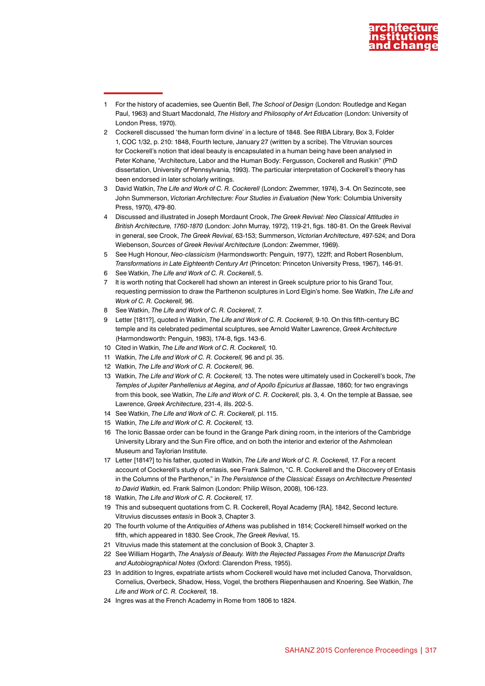

- 1 For the history of academies, see Quentin Bell, *The School of Design* (London: Routledge and Kegan Paul, 1963) and Stuart Macdonald, *The History and Philosophy of Art Education* (London: University of London Press, 1970).
- 2 Cockerell discussed 'the human form divine' in a lecture of 1848. See RIBA Library, Box 3, Folder 1, COC 1/32, p. 210: 1848, Fourth lecture, January 27 (written by a scribe). The Vitruvian sources for Cockerell's notion that ideal beauty is encapsulated in a human being have been analysed in Peter Kohane, "Architecture, Labor and the Human Body: Fergusson, Cockerell and Ruskin" (PhD dissertation, University of Pennsylvania, 1993). The particular interpretation of Cockerell's theory has been endorsed in later scholarly writings.
- 3 David Watkin, *The Life and Work of C. R. Cockerell* (London: Zwemmer, 1974), 3-4. On Sezincote, see John Summerson, *Victorian Architecture: Four Studies in Evaluation* (New York: Columbia University Press, 1970), 479-80.
- 4 Discussed and illustrated in Joseph Mordaunt Crook, *The Greek Revival: Neo Classical Attitudes in British Architecture, 1760-1870* (London: John Murray, 1972), 119-21, figs. 180-81. On the Greek Revival in general, see Crook, *The Greek Revival*, 63-153; Summerson, *Victorian Architecture*, 497-524; and Dora Wiebenson, *Sources of Greek Revival Architecture* (London: Zwemmer, 1969).
- 5 See Hugh Honour, *Neo-classicism* (Harmondsworth: Penguin, 1977), 122ff; and Robert Rosenblum, *Transformations in Late Eighteenth Century Art* (Princeton: Princeton University Press, 1967), 146-91.
- 6 See Watkin, *The Life and Work of C. R. Cockerell*, 5.
- 7 It is worth noting that Cockerell had shown an interest in Greek sculpture prior to his Grand Tour, requesting permission to draw the Parthenon sculptures in Lord Elgin's home. See Watkin, *The Life and Work of C. R. Cockerell,* 96.
- 8 See Watkin, *The Life and Work of C. R. Cockerell,* 7.
- 9 Letter [1811?], quoted in Watkin, *The Life and Work of C. R. Cockerell,* 9-10. On this fifth-century BC temple and its celebrated pedimental sculptures, see Arnold Walter Lawrence, *Greek Architecture* (Harmondsworth: Penguin, 1983), 174-8, figs. 143-6.
- 10 Cited in Watkin, *The Life and Work of C. R. Cockerell,* 10.
- 11 Watkin, *The Life and Work of C. R. Cockerell,* 96 and pl. 35.
- 12 Watkin, *The Life and Work of C. R. Cockerell,* 96.
- 13 Watkin, *The Life and Work of C. R. Cockerell,* 13. The notes were ultimately used in Cockerell's book, *The Temples of Jupiter Panhellenius at Aegina, and of Apollo Epicurius at Bassae*, 1860; for two engravings from this book, see Watkin, *The Life and Work of C. R. Cockerell,* pls. 3, 4. On the temple at Bassae, see Lawrence, *Greek Architecture*, 231-4, ills. 202-5.
- 14 See Watkin, *The Life and Work of C. R. Cockerell,* pl. 115.
- 15 Watkin, *The Life and Work of C. R. Cockerell,* 13.
- 16 The Ionic Bassae order can be found in the Grange Park dining room, in the interiors of the Cambridge University Library and the Sun Fire office, and on both the interior and exterior of the Ashmolean Museum and Taylorian Institute.
- 17 Letter [1814?] to his father, quoted in Watkin, *The Life and Work of C. R. Cockerell,* 17. For a recent account of Cockerell's study of entasis, see Frank Salmon, "C. R. Cockerell and the Discovery of Entasis in the Columns of the Parthenon," in *The Persistence of the Classical: Essays on Architecture Presented to David Watkin*, ed. Frank Salmon (London: Philip Wilson, 2008), 106-123.
- 18 Watkin, *The Life and Work of C. R. Cockerell,* 17.
- 19 This and subsequent quotations from C. R. Cockerell, Royal Academy [RA], 1842, Second lecture. Vitruvius discusses *entasis* in Book 3, Chapter 3.
- 20 The fourth volume of the *Antiquities of Athens* was published in 1814; Cockerell himself worked on the fifth, which appeared in 1830. See Crook, *The Greek Revival*, 15.
- 21 Vitruvius made this statement at the conclusion of Book 3, Chapter 3.
- 22 See William Hogarth, *The Analysis of Beauty. With the Rejected Passages From the Manuscript Drafts and Autobiographical Notes* (Oxford: Clarendon Press, 1955).
- 23 In addition to Ingres, expatriate artists whom Cockerell would have met included Canova, Thorvaldson, Cornelius, Overbeck, Shadow, Hess, Vogel, the brothers Riepenhausen and Knoering. See Watkin, *The Life and Work of C. R. Cockerell,* 18.
- 24 Ingres was at the French Academy in Rome from 1806 to 1824.